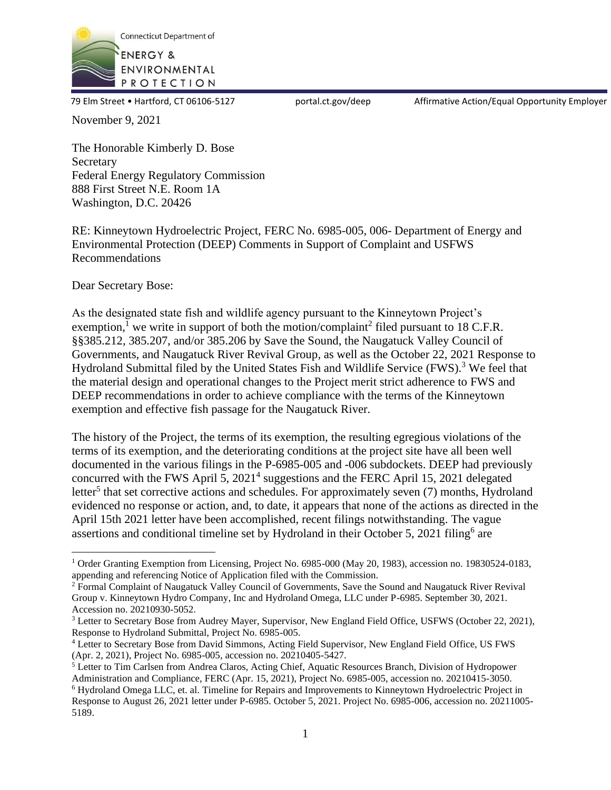

79 Elm Street • Hartford, CT 06106-5127 portal.ct.gov/deep Affirmative Action/Equal Opportunity Employer

November 9, 2021

The Honorable Kimberly D. Bose Secretary Federal Energy Regulatory Commission 888 First Street N.E. Room 1A Washington, D.C. 20426

RE: Kinneytown Hydroelectric Project, FERC No. 6985-005, 006- Department of Energy and Environmental Protection (DEEP) Comments in Support of Complaint and USFWS Recommendations

Dear Secretary Bose:

As the designated state fish and wildlife agency pursuant to the Kinneytown Project's exemption,<sup>1</sup> we write in support of both the motion/complaint<sup>2</sup> filed pursuant to 18 C.F.R. §§385.212, 385.207, and/or 385.206 by Save the Sound, the Naugatuck Valley Council of Governments, and Naugatuck River Revival Group, as well as the October 22, 2021 Response to Hydroland Submittal filed by the United States Fish and Wildlife Service (FWS).<sup>3</sup> We feel that the material design and operational changes to the Project merit strict adherence to FWS and DEEP recommendations in order to achieve compliance with the terms of the Kinneytown exemption and effective fish passage for the Naugatuck River.

The history of the Project, the terms of its exemption, the resulting egregious violations of the terms of its exemption, and the deteriorating conditions at the project site have all been well documented in the various filings in the P-6985-005 and -006 subdockets. DEEP had previously concurred with the FWS April 5,  $2021<sup>4</sup>$  suggestions and the FERC April 15,  $2021$  delegated letter<sup>5</sup> that set corrective actions and schedules. For approximately seven (7) months, Hydroland evidenced no response or action, and, to date, it appears that none of the actions as directed in the April 15th 2021 letter have been accomplished, recent filings notwithstanding. The vague assertions and conditional timeline set by Hydroland in their October 5, 2021 filing<sup>6</sup> are

<sup>1</sup> Order Granting Exemption from Licensing, Project No. 6985-000 (May 20, 1983), accession no. 19830524-0183, appending and referencing Notice of Application filed with the Commission.

<sup>&</sup>lt;sup>2</sup> Formal Complaint of Naugatuck Valley Council of Governments, Save the Sound and Naugatuck River Revival Group v. Kinneytown Hydro Company, Inc and Hydroland Omega, LLC under P-6985. September 30, 2021. Accession no. 20210930-5052.

<sup>3</sup> Letter to Secretary Bose from Audrey Mayer, Supervisor, New England Field Office, USFWS (October 22, 2021), Response to Hydroland Submittal, Project No. 6985-005.

<sup>4</sup> Letter to Secretary Bose from David Simmons, Acting Field Supervisor, New England Field Office, US FWS (Apr. 2, 2021), Project No. 6985-005, accession no. 20210405-5427.

<sup>5</sup> Letter to Tim Carlsen from Andrea Claros, Acting Chief, Aquatic Resources Branch, Division of Hydropower Administration and Compliance, FERC (Apr. 15, 2021), Project No. 6985-005, accession no. 20210415-3050.

<sup>6</sup> Hydroland Omega LLC, et. al. Timeline for Repairs and Improvements to Kinneytown Hydroelectric Project in Response to August 26, 2021 letter under P-6985. October 5, 2021. Project No. 6985-006, accession no. 20211005- 5189.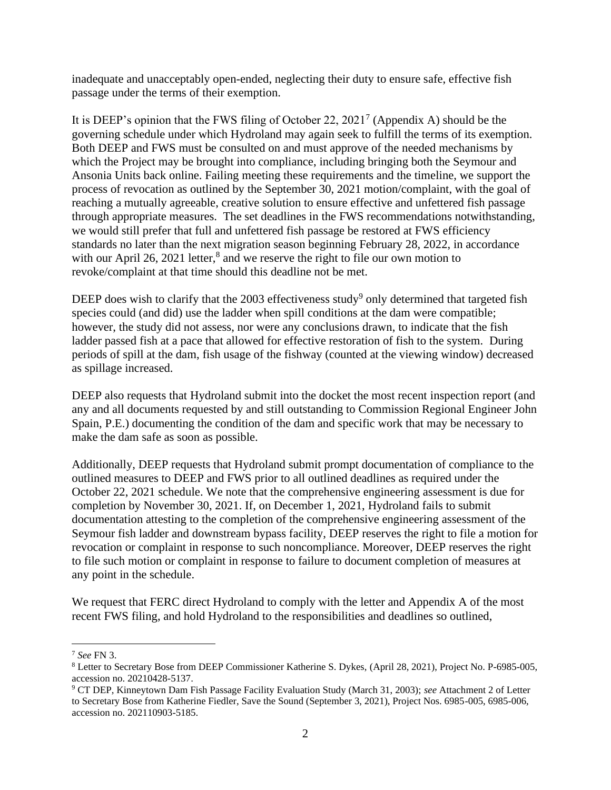inadequate and unacceptably open-ended, neglecting their duty to ensure safe, effective fish passage under the terms of their exemption.

It is DEEP's opinion that the FWS filing of October 22, 2021<sup>7</sup> (Appendix A) should be the governing schedule under which Hydroland may again seek to fulfill the terms of its exemption. Both DEEP and FWS must be consulted on and must approve of the needed mechanisms by which the Project may be brought into compliance, including bringing both the Seymour and Ansonia Units back online. Failing meeting these requirements and the timeline, we support the process of revocation as outlined by the September 30, 2021 motion/complaint, with the goal of reaching a mutually agreeable, creative solution to ensure effective and unfettered fish passage through appropriate measures. The set deadlines in the FWS recommendations notwithstanding, we would still prefer that full and unfettered fish passage be restored at FWS efficiency standards no later than the next migration season beginning February 28, 2022, in accordance with our April 26, 2021 letter, $8$  and we reserve the right to file our own motion to revoke/complaint at that time should this deadline not be met.

DEEP does wish to clarify that the 2003 effectiveness study<sup>9</sup> only determined that targeted fish species could (and did) use the ladder when spill conditions at the dam were compatible; however, the study did not assess, nor were any conclusions drawn, to indicate that the fish ladder passed fish at a pace that allowed for effective restoration of fish to the system. During periods of spill at the dam, fish usage of the fishway (counted at the viewing window) decreased as spillage increased.

DEEP also requests that Hydroland submit into the docket the most recent inspection report (and any and all documents requested by and still outstanding to Commission Regional Engineer John Spain, P.E.) documenting the condition of the dam and specific work that may be necessary to make the dam safe as soon as possible.

Additionally, DEEP requests that Hydroland submit prompt documentation of compliance to the outlined measures to DEEP and FWS prior to all outlined deadlines as required under the October 22, 2021 schedule. We note that the comprehensive engineering assessment is due for completion by November 30, 2021. If, on December 1, 2021, Hydroland fails to submit documentation attesting to the completion of the comprehensive engineering assessment of the Seymour fish ladder and downstream bypass facility, DEEP reserves the right to file a motion for revocation or complaint in response to such noncompliance. Moreover, DEEP reserves the right to file such motion or complaint in response to failure to document completion of measures at any point in the schedule.

We request that FERC direct Hydroland to comply with the letter and Appendix A of the most recent FWS filing, and hold Hydroland to the responsibilities and deadlines so outlined,

<sup>7</sup> *See* FN 3.

<sup>8</sup> Letter to Secretary Bose from DEEP Commissioner Katherine S. Dykes, (April 28, 2021), Project No. P-6985-005, accession no. 20210428-5137.

<sup>9</sup> CT DEP, Kinneytown Dam Fish Passage Facility Evaluation Study (March 31, 2003); *see* Attachment 2 of Letter to Secretary Bose from Katherine Fiedler, Save the Sound (September 3, 2021), Project Nos. 6985-005, 6985-006, accession no. 202110903-5185.